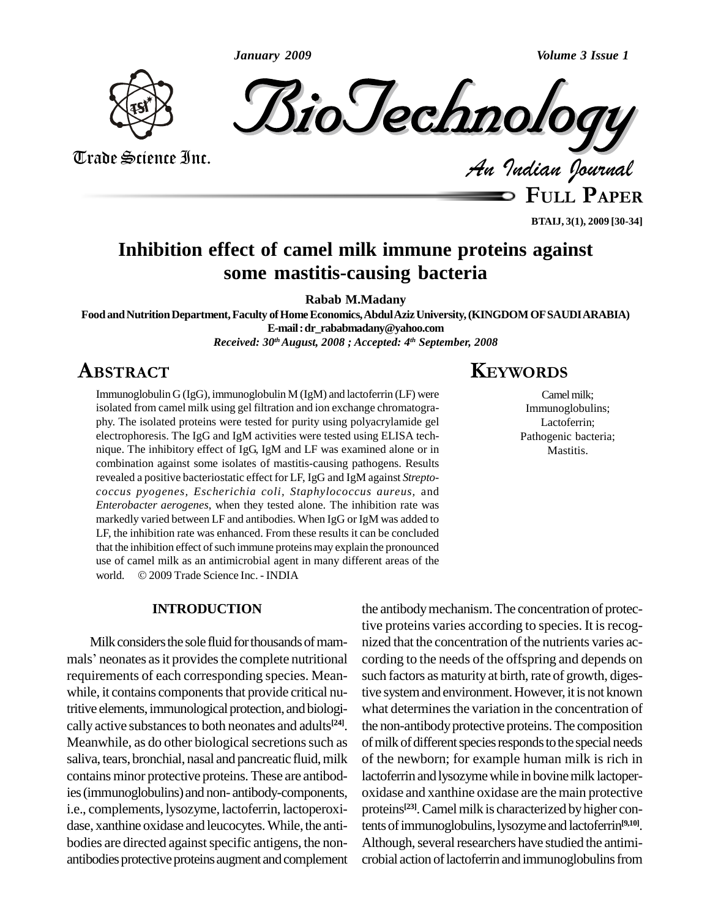

Trade Science Inc.

Trade Science Inc.

*Indian Journal*

**FULL <sup>P</sup>APER**

**BTAIJ, 3(1), 2009 [30-34]**

# **Inhibition effect of camel milk immune proteins against some mastitis-causing bacteria**

**Rabab M.Madany**

Food and Nutrition Department, Faculty of Home Economics, Abdul Aziz University, (KINGDOM OF SAUDIARABIA) **E-mail:[dr\\_rababmadany@yahoo.com](mailto:dr_rababmadany@yahoo.com) Z008** 

*Received: 30 thAugust, 2008 ; Accepted: 4 th September, 2008*

# ABSTRACT

Immunoglobulin G (IgG), immunoglobulin M (IgM) and lactoferrin (LF) were isolated from camel milk using gel filtration and ion exchange chromatogra phy. The isolated proteins were tested for purity using polyacrylamide gel electrophoresis. The IgG and IgM activities were tested using ELISA tech nique. The inhibitory effect of IgG, IgM and LF was examined alone or in combination against some isolates of mastitis-causing pathogens. Results revealed a positive bacteriostatic effect for LF, IgG and IgM against *Streptococcus pyogenes, Escherichia coli, Staphylococcus aureus,* and *Enterobacter aerogenes*, when they tested alone. The inhibition rate was markedly varied between LF and antibodies. When IgG or IgM was added to LF, the inhibition rate was enhanced. From these results it can be concluded that the inhibition effect of such immune proteins may explain the pronounced use of camel milk as an antimicrobial agent in many different areas of the that the inhibition effect of such immune proteins may expla<br>use of camel milk as an antimicrobial agent in many diff<br>world. © 2009 Trade Science Inc. - INDIA

#### **INTRODUCTION**

Milk considers the sole fluid for thousands of mammals' neonates as it provides the complete nutritional requirements of each corresponding species. Mean while, it contains components that provide critical nutritive elements, immunological protection, and biologically active substances to both neonates and adults<sup>[24]</sup>. the Meanwhile, as do other biological secretions such as saliva, tears, bronchial, nasal and pancreatic fluid, milk contains minor protective proteins. These are antibodies(immunoglobulins) and non- antibody-components, i.e., complements, lysozyme, lactoferrin, lactoperoxi dase, xanthine oxidase and leucocytes. While, the antibodies are directed against specific antigens, the nonantibodies protective proteins augment and complement

# **KEYWORDS**

Camel milk: Immunoglobulins; Lactoferrin; Pathogenic bacteria; Mastitis.

the antibodymechanism.The concentration of protective proteins varies according to species. It is recognized that the concentration of the nutrients varies according to the needs of the offspring and depends on such factors as maturity at birth, rate of growth, digestive system and environment. However, it is not known what determines the variation in the concentration of the non-antibody protective proteins. The composition of milk of different species responds to the special needs of the newborn; for example human milk is rich in lactoferrin and lysozyme while in bovine milk lactoperoxidase and xanthine oxidase are the main protective proteins<sup>[23]</sup>. Camel milk is characterized by higher contents of immunoglobulins, lysozyme and lactoferrin<sup>[9,10]</sup>. Although, several researchers have studied the antimicrobial action of lactoferrin and immunoglobulins from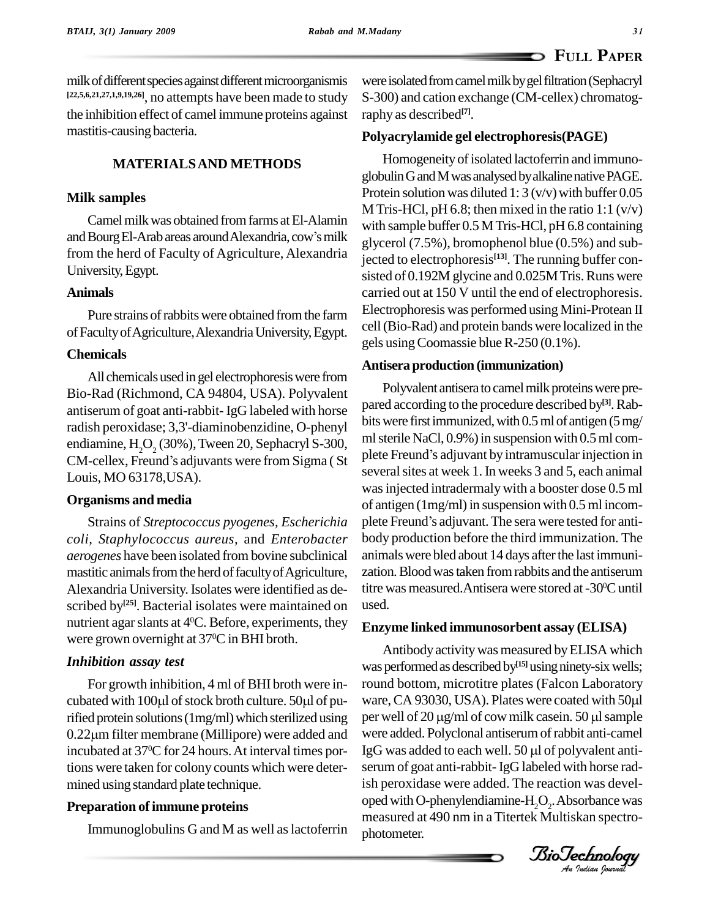milk of different species against different microorganismis **[22,5,6,21,27,1,9,19,26]**, no attempts have been made to study the inhibition effect of camel immune proteins against mastitis-causing bacteria.

# **MATERIALSAND METHODS**

## **Milk samples**

Camel milk was obtained from farms at El-Alamin and Bourg El-Arab areas around Alexandria, cow's milk from the herd of Faculty of Agriculture, Alexandria University,Egypt.

## **Animals**

Pure strains of rabbits were obtained from the farm ofFacultyofAgriculture,AlexandriaUniversity,Egypt.

#### **Chemicals**

All chemicalsusedin gel electrophoresiswere from Bio-Rad (Richmond, CA 94804, USA). Polyvalent antiserum of goat anti-rabbit- IgG labeled with horse radish peroxidase; 3,3'-diaminobenzidine, O-phenyl<br>endiamine, H<sub>2</sub>O<sub>2</sub> (30%), Tween 20, Sephacryl S-300, ml<br>CM-cellex, Freund's adjuvants were from Sigma ( St Louis, MO 63178,USA).

#### **Organisms and media**

*coli, Staphylococcus aureus,* and *Enterobacter aerogenes* have been isolated from bovine subclinical mastitic animals from the herd of faculty of Agriculture, Alexandria University. Isolates were identified as de scribed by<sup>[25]</sup>. Bacterial isolates were maintained on used. nutrient agar slants at  $4^{\circ}$ C. Before, experiments, they  $F_{\text{HZVM}}$ were grown overnight at 37 <sup>0</sup>C inBHI broth.

#### *Inhibition assay test*

For growth inhibition, 4 ml of BHI broth were in cubated with 100µl of stock broth culture. 50µl of pu- ware, CA 93030, USA). Plates were coated with 50µl rified protein solutions (1mg/ml) which sterilized using per wel cubated with 100µl of stock broth culture. 50µl of pu-ware, C<br>rified protein solutions (1mg/ml) which sterilized using per wel<br>0.22µm filter membrane (Millipore) were added and were ac incubated at 37 <sup>0</sup>C for 24 hours.At interval times portions were taken for colony counts which were deter mined using standard plate technique.

### **Preparation ofimmune proteins**

Immunoglobulins G and M as well as lactoferrin

were isolated from camel milk by gel filtration (Sephacryl S-300) and cation exchange (CM-cellex) chromatography as described **[7]**.

#### **Polyacrylamide gel electrophoresis(PAGE)**

Homogeneity of isolated lactoferrin and immunoglobulin G and M was analysed by alkaline native PAGE. Protein solution was diluted 1:  $3 \text{ (v/v)}$  with buffer 0.05 M Tris-HCl, pH 6.8; then mixed in the ratio 1:1  $(v/v)$ with sample buffer 0.5 M Tris-HCl, pH 6.8 containing glycerol (7.5%), bromophenol blue (0.5%) and subjected to electrophoresis **[13]**. The running buffer con sisted of 0.192M glycine and 0.025M Tris. Runs were carried out at 150 V until the end of electrophoresis. Electrophoresis was performed using Mini-Protean II cell(Bio-Rad) and protein bands were localized in the gels usingCoomassie blueR-250 (0.1%).

#### **Antisera production (immunization)**

Strains of *Streptococcus pyogenes, Escherichia* Polyvalent antisera to camel milk proteins were prepared according to the procedure described by **[3]**.Rab bits were first immunized, with 0.5 ml of antigen (5 mg/<br>ml sterile NaCl, 0.9%) in suspension with 0.5 ml com-<br>plete Freund's adjuvant by intramuscular injection in ml sterile NaCl,  $0.9\%$ ) in suspension with  $0.5$  ml comseveral sites at week 1. In weeks 3 and 5, each animal was injected intradermaly with a booster dose 0.5 ml<br>of antigen (1mg/ml) in suspension with 0.5 ml incom-<br>plete Freund's adjuvant. The sera were tested for antiof antigen  $(1mg/ml)$  in suspension with 0.5 ml incombody production before the third immunization. The animals were bled about 14 days after the last immunization.Bloodwastaken fromrabbits and the antiserum titre was measured.Antisera were stored at -30°C until used.

#### **Enzyme linked immunosorbent assay (ELISA)**

per well of 20 µg/ml of cow milk casein. 50 µl sample<br>were added. Polyclonal antiserum of rabbit anti-camel *An*serum of goat anti-rabbit-IgG labeled with horse rad-Antibody activity was measured by ELISA which was performed as described by<sup>[15]</sup> using ninety-six wells; round bottom, microtitre plates (Falcon Laboratory was performed as described by<sup>115]</sup> using ninety-six wells;<br>round bottom, microtitre plates (Falcon Laboratory<br>ware, CA 93030, USA). Plates were coated with 50µl round bottom, microtitre plates (Falcon Laboratory<br>ware, CA 93030, USA). Plates were coated with 50µl<br>per well of 20 µg/ml of cow milk casein. 50 µl sample per well of 20 µg/ml of cow milk casein. 50 µl sample<br>were added. Polyclonal antiserum of rabbit anti-camel<br>IgG was added to each well. 50 µl of polyvalent antiish peroxidase were added. The reaction was devel oped with O-phenylendiamine- $H_2O_2$ . Absorbance was measured at 490 nm in aTitertek Multiskan spectro photometer.

*Indian Journal*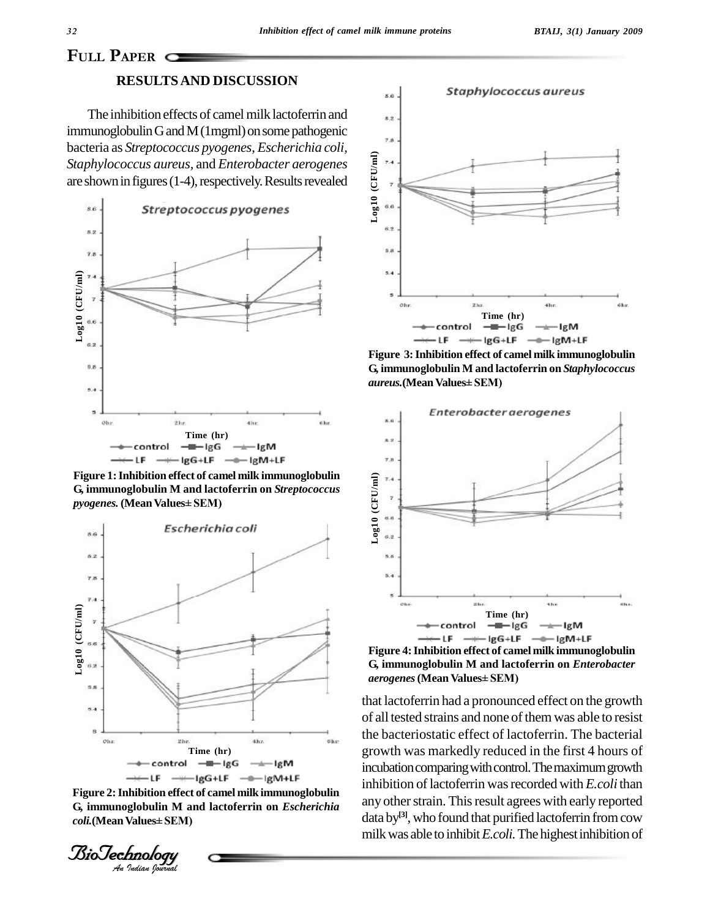# **PAPER**  $\Box$

#### **RESULTSAND DISCUSSION**

The inhibition effects of camel milk lactoferrin and immunoglobulin G and M (1mgml) on some pathogenic bacteria as *Streptococcus pyogenes*, *Escherichia coli,Staphylococcus aureus,* and *Enterobacter aerogenes* are shown in figures  $(1-4)$ , respectively. Results revealed



**Figure 1:Inhibition effect of camel milk immunoglobulin** *pyogenes.* **(MeanValues<sup>±</sup> SEM) G, immunoglobulin M and lactoferrin on** *Streptococcus*



**IF**  $\rightarrow$  control  $-\rightarrow$  IgG  $\rightarrow$  IgM<br>  $\rightarrow$  IF  $\rightarrow$  IgG+LF  $\rightarrow$  IgM+LF<br>
Figure 2: Inhibition effect of camel milk immuno<br> *G*, immunoglobulin M and lactoferrin on *Esci*<br> *coli*.(Mean Values± SEM)<br> *Bio* Jechnology<br> *Au Judi* **Figure 2:Inhibition effect of camel milk immunoglobulin G, immunoglobulin M and lactoferrin on** *Escherichia* Figure 2: Inhibition effect of car<br>G, immunoglobulin M and lac<br>*coli*.(Mean Values± SEM)





**Figure 3:Inhibition effect of camel milk immunoglobulin G, immunoglobulin M and lactoferrin on** *Staphylococcus Figure 3: Inhibition effect of camel***<br>G, immunoglobulin M and lactofer<br>***aureus***.(Mean Values± SEM)** 



**Figure 4:Inhibition effect of camel milk immunoglobulin** *aerogenes***(Mean Values<sup>±</sup> SEM) G, immunoglobulin M and lactoferrin on** *Enterobacter*

that lactoferrin had a pronounced effect on the growth of all tested strains and none of them was able to resist the bacteriostatic effect of lactoferrin. The bacterial growth was markedly reduced in the first 4 hours of incubation comparing with control. The maximum growth inhibition of lactoferrin was recorded with *E.coli* than any other strain. This result agrees with early reported data by<sup>[3]</sup>, who found that purified lactoferrin from cow milkwas able to inhibit*E.coli.*The highestinhibition of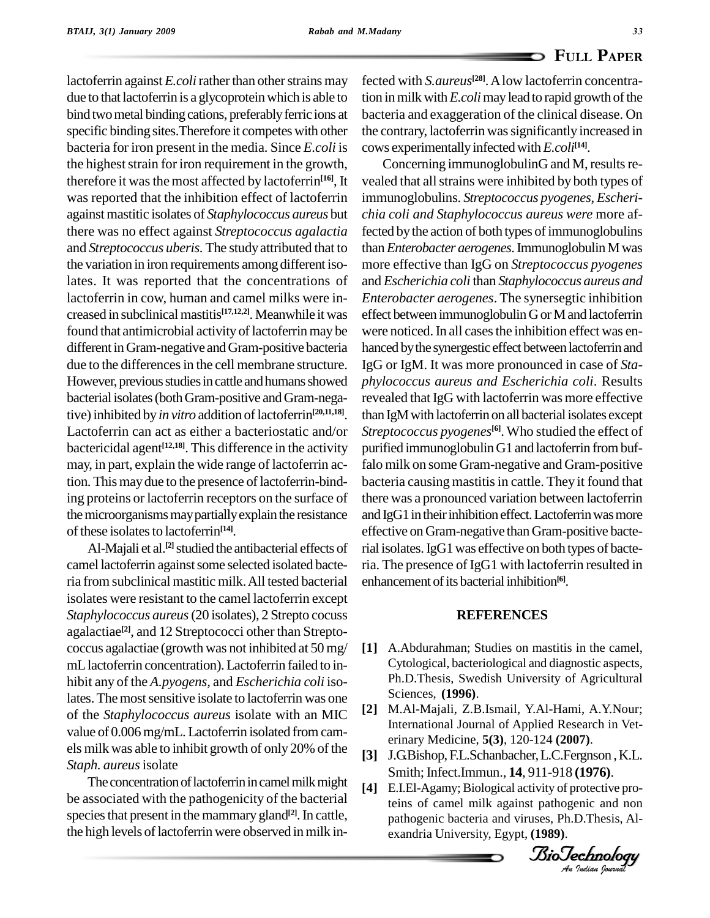lactoferrin against *E.coli* rather than other strains may due to that lactoferrin is a glycoprotein which is able to bind two metal binding cations, preferably ferric ions at specific binding sites.Therefore it competes with other bacteria for iron present in the media. Since *E.coli* is the highest strain for iron requirement in the growth, therefore it was the most affected by lactoferrin<sup>[16]</sup>, It ve was reported that the inhibition effect of lactoferrin againstmastitic isolates of *Staphylococcus aureus* but there was no effect against *Streptococcus agalactia* and *Streptococcus uberis*. The study attributed that to the variation in iron requirements among different isolates. It was reported that the concentrations of lactoferrin in cow, human and camel milks were in creased in subclinical mastitis<sup>[17,12,2]</sup>. Meanwhile it was effec found that antimicrobial activity of lactoferrin may be different inGram-negative andGram-positive bacteria due to the differences in the cell membrane structure. However, previous studies in cattle and humans showed bacterial isolates (both Gram-positive and Gram-negative) inhibited by *in vitro* addition of lactoferrin<sup>[20,11,18]</sup>. th. Lactoferrin can act as either a bacteriostatic and/or bactericidal agent<sup>[12,18]</sup>. This difference in the activity purified may, in part, explain the wide range of lactoferrin action. This may due to the presence of lactoferrin-binding proteins or lactoferrin receptors on the surface of the microorganisms may partially explain the resistance of these isolates to lactoferrin<sup>[14]</sup>.

Al-Majali et al.<sup>[2]</sup> studied the antibacterial effects of rial camel lactoferrin against some selected isolated bacteria from subclinical mastitic milk.All tested bacterial isolates were resistant to the camel lactoferrin except *Staphylococcus aureus*(20 isolates), 2 Strepto cocuss agalactiae **[2]**, and 12 Streptococci other than Strepto coccus agalactiae (growth was not inhibited at  $50 \,\text{mg}/\quad$  [1] mLlactoferrin concentration).Lactoferrin failed to in-hibit any of the *A.pyogens,* and *Escherichia coli*isolates. The most sensitive isolate to lactoferrin was one<br>of the Stanbuloge agus suppuriselate with an MIC [2] of the *Staphylococcus aureus* isolate with an MIC value of 0.006 mg/mL. Lactoferrin isolated from camels milk was able to inhibit growth of only 20% of the *Staph. aureus*isolate

The concentration of lactoferrin in camel milk might be associated with the pathogenicity of the bacterial species that present in the mammary gland<sup>[2]</sup>. In cattle, the high levels of lactoferrin were observed in milk in-

fected with *S.aureus* **[28]**.Alow lactoferrin concentration in milk with *E.coli* may lead to rapid growth of the bacteria and exaggeration of the clinical disease. On the contrary, lactoferrin was significantly increased in cows experimentally infected with *E.coli*<sup>[14]</sup>.

Concerning immunoglobulinG and M, results revealed that all strains were inhibited by both types of immunoglobulins. *Streptococcus pyogenes*, *Escheri chia coli and Staphylococcus aureus were* more affected by the action of both types of immunoglobulins than*Enterobacter aerogenes*.ImmunoglobulinMwas more effective than IgG on *Streptococcus pyogenes* and *Escherichia coli* than *Staphylococcus aureus and Enterobacter aerogenes*. The synersegtic inhibition effect between immunoglobulinGorMand lactoferrin were noticed. In all cases the inhibition effect was enhanced by the synergestic effect between lactoferrin and IgG or IgM. It was more pronounced in case of *Sta phylococcus aureus and Escherichia coli*. Results revealed that IgG with lactoferrin was more effective than IgM with lactoferrin on all bacterial isolates except *Streptococcus pyogenes* **[6]**. Who studied the effect of purified immunoglobulinG1 and lactoferrin frombuffalo milk on some Gram-negative and Gram-positive bacteria causing mastitis in cattle. They it found that there was a pronounced variation between lactoferrin and IgG1 in their inhibition effect. Lactoferrin was more effective onGram-negative than Gram-positive bacterial isolates.IgG1was effective on both types of bacteria. The presence of IgG1 with lactoferrin resulted in enhancement of its bacterial inhibition<sup>[6]</sup>.

#### **REFERENCES**

- **[1]** A.Abdurahman; Studies on mastitis in the camel, Cytological, bacteriological and diagnostic aspects, Ph.D.Thesis, Swedish University of Agricultural Sciences, **(1996)**.
- International Journal of Applied Research in Vet-**[2]** M.Al-Majali, Z.B.Ismail, Y.Al-Hami, A.Y.Nour; erinary Medicine, **5(3)**, 120-124 **(2007)**.
- *An*Smith;Infect.Immun., **14**, 911-918 **(1976)**. **[3]** J.G.Bishop,F.L.Schanbacher,L.C.Fergnson ,K.L.
- **[4]** E.I.El-Agamy; Biological activity of protective proteins of camel milk against pathogenic and non pathogenic bacteria and viruses, Ph.D.Thesis, Al exandria University, Egypt, **(1989)**.

*Indian Journal*